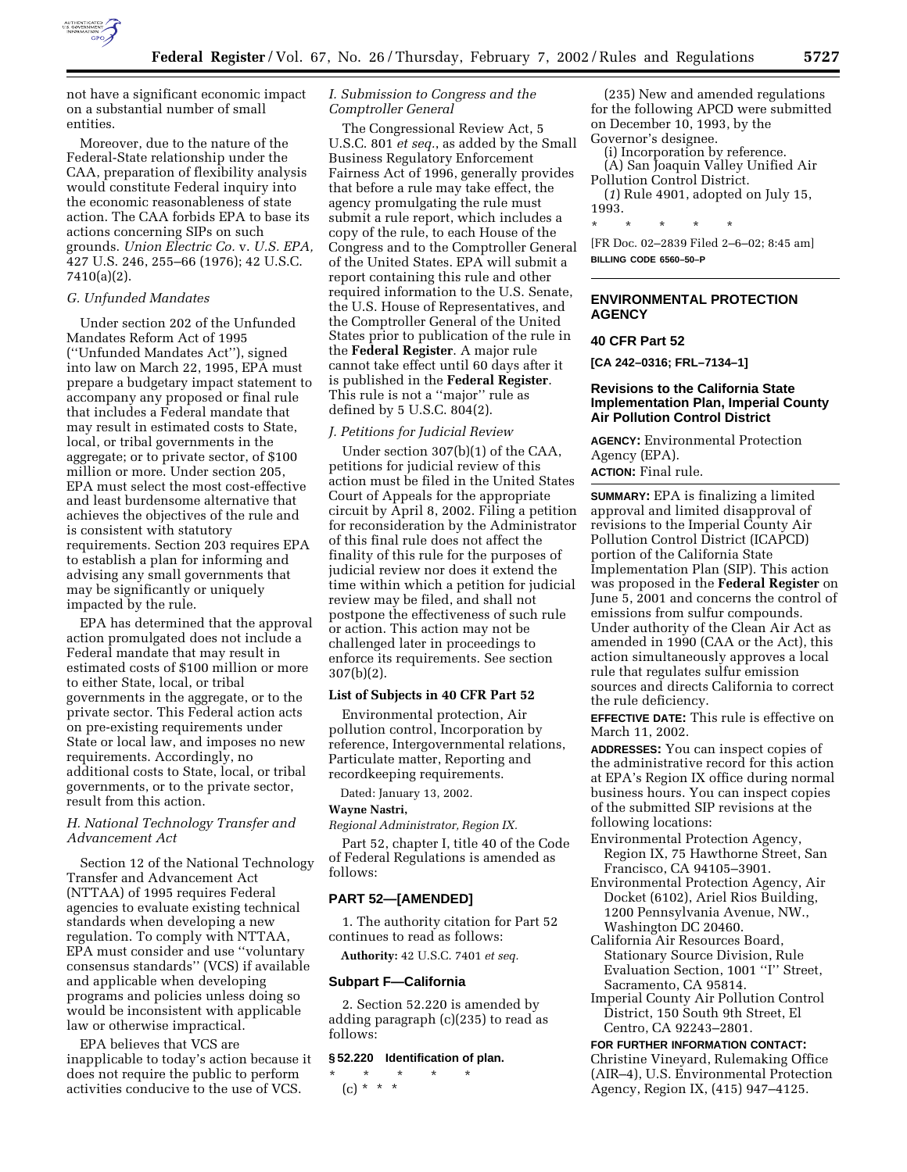

Moreover, due to the nature of the Federal-State relationship under the CAA, preparation of flexibility analysis would constitute Federal inquiry into the economic reasonableness of state action. The CAA forbids EPA to base its actions concerning SIPs on such grounds. *Union Electric Co.* v. *U.S. EPA,* 427 U.S. 246, 255–66 (1976); 42 U.S.C. 7410(a)(2).

## *G. Unfunded Mandates*

Under section 202 of the Unfunded Mandates Reform Act of 1995 (''Unfunded Mandates Act''), signed into law on March 22, 1995, EPA must prepare a budgetary impact statement to accompany any proposed or final rule that includes a Federal mandate that may result in estimated costs to State, local, or tribal governments in the aggregate; or to private sector, of \$100 million or more. Under section 205, EPA must select the most cost-effective and least burdensome alternative that achieves the objectives of the rule and is consistent with statutory requirements. Section 203 requires EPA to establish a plan for informing and advising any small governments that may be significantly or uniquely impacted by the rule.

EPA has determined that the approval action promulgated does not include a Federal mandate that may result in estimated costs of \$100 million or more to either State, local, or tribal governments in the aggregate, or to the private sector. This Federal action acts on pre-existing requirements under State or local law, and imposes no new requirements. Accordingly, no additional costs to State, local, or tribal governments, or to the private sector, result from this action.

## *H. National Technology Transfer and Advancement Act*

Section 12 of the National Technology Transfer and Advancement Act (NTTAA) of 1995 requires Federal agencies to evaluate existing technical standards when developing a new regulation. To comply with NTTAA, EPA must consider and use ''voluntary consensus standards'' (VCS) if available and applicable when developing programs and policies unless doing so would be inconsistent with applicable law or otherwise impractical.

EPA believes that VCS are inapplicable to today's action because it does not require the public to perform activities conducive to the use of VCS.

# *I. Submission to Congress and the Comptroller General*

The Congressional Review Act, 5 U.S.C. 801 *et seq.*, as added by the Small Business Regulatory Enforcement Fairness Act of 1996, generally provides that before a rule may take effect, the agency promulgating the rule must submit a rule report, which includes a copy of the rule, to each House of the Congress and to the Comptroller General of the United States. EPA will submit a report containing this rule and other required information to the U.S. Senate, the U.S. House of Representatives, and the Comptroller General of the United States prior to publication of the rule in the **Federal Register**. A major rule cannot take effect until 60 days after it is published in the **Federal Register**. This rule is not a ''major'' rule as defined by 5 U.S.C. 804(2).

## *J. Petitions for Judicial Review*

Under section 307(b)(1) of the CAA, petitions for judicial review of this action must be filed in the United States Court of Appeals for the appropriate circuit by April 8, 2002. Filing a petition for reconsideration by the Administrator of this final rule does not affect the finality of this rule for the purposes of judicial review nor does it extend the time within which a petition for judicial review may be filed, and shall not postpone the effectiveness of such rule or action. This action may not be challenged later in proceedings to enforce its requirements. See section 307(b)(2).

# **List of Subjects in 40 CFR Part 52**

Environmental protection, Air pollution control, Incorporation by reference, Intergovernmental relations, Particulate matter, Reporting and recordkeeping requirements.

Dated: January 13, 2002.

#### **Wayne Nastri,**

*Regional Administrator, Region IX.*

Part 52, chapter I, title 40 of the Code of Federal Regulations is amended as follows:

## **PART 52—[AMENDED]**

1. The authority citation for Part 52 continues to read as follows:

**Authority:** 42 U.S.C. 7401 *et seq.*

## **Subpart F—California**

2. Section 52.220 is amended by adding paragraph (c)(235) to read as follows:

#### **§ 52.220 Identification of plan.**

\* \* \* \* \* (c) \* \* \*

(235) New and amended regulations for the following APCD were submitted on December 10, 1993, by the Governor's designee.

(i) Incorporation by reference.

(A) San Joaquin Valley Unified Air Pollution Control District.

(*1*) Rule 4901, adopted on July 15, 1993.

\* \* \* \* \*

[FR Doc. 02–2839 Filed 2–6–02; 8:45 am] **BILLING CODE 6560–50–P**

# **ENVIRONMENTAL PROTECTION AGENCY**

# **40 CFR Part 52**

**[CA 242–0316; FRL–7134–1]**

# **Revisions to the California State Implementation Plan, Imperial County Air Pollution Control District**

**AGENCY:** Environmental Protection Agency (EPA). **ACTION:** Final rule.

**SUMMARY:** EPA is finalizing a limited approval and limited disapproval of revisions to the Imperial County Air Pollution Control District (ICAPCD) portion of the California State Implementation Plan (SIP). This action was proposed in the **Federal Register** on June 5, 2001 and concerns the control of emissions from sulfur compounds. Under authority of the Clean Air Act as amended in 1990 (CAA or the Act), this action simultaneously approves a local rule that regulates sulfur emission sources and directs California to correct the rule deficiency.

**EFFECTIVE DATE:** This rule is effective on March 11, 2002.

**ADDRESSES:** You can inspect copies of the administrative record for this action at EPA's Region IX office during normal business hours. You can inspect copies of the submitted SIP revisions at the following locations:

- Environmental Protection Agency, Region IX, 75 Hawthorne Street, San Francisco, CA 94105–3901.
- Environmental Protection Agency, Air Docket (6102), Ariel Rios Building, 1200 Pennsylvania Avenue, NW., Washington DC 20460.
- California Air Resources Board, Stationary Source Division, Rule Evaluation Section, 1001 ''I'' Street, Sacramento, CA 95814.
- Imperial County Air Pollution Control District, 150 South 9th Street, El Centro, CA 92243–2801.

**FOR FURTHER INFORMATION CONTACT:** Christine Vineyard, Rulemaking Office (AIR–4), U.S. Environmental Protection Agency, Region IX, (415) 947–4125.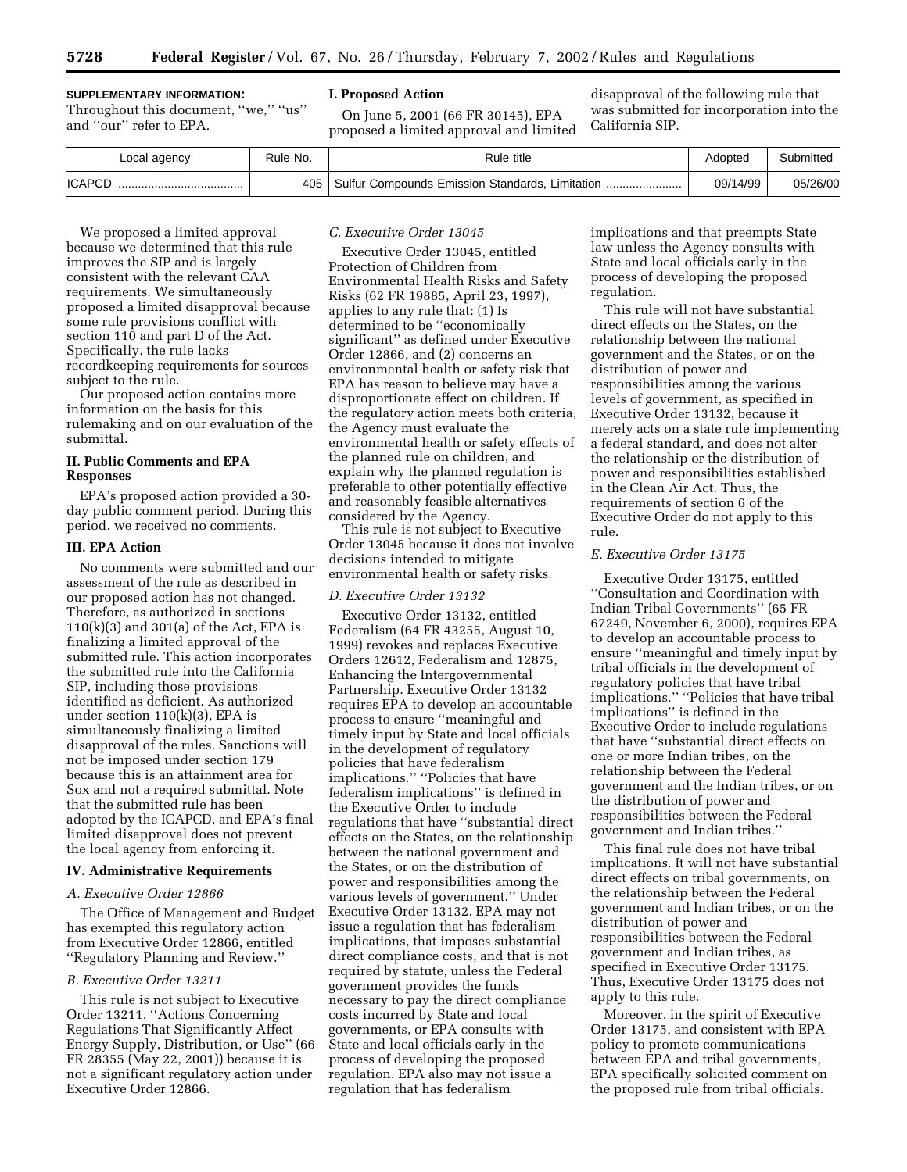# **SUPPLEMENTARY INFORMATION:**

Throughout this document, "we," "us" and ''our'' refer to EPA.

## **I. Proposed Action**

On June 5, 2001 (66 FR 30145), EPA proposed a limited approval and limited

disapproval of the following rule that was submitted for incorporation into the California SIP.

| Local agency  | Rule No. | Rule title                                            | Adopted  | Submitted |
|---------------|----------|-------------------------------------------------------|----------|-----------|
| <b>ICAPCD</b> |          | 405   Sulfur Compounds Emission Standards, Limitation | 09/14/99 | 05/26/00  |

We proposed a limited approval because we determined that this rule improves the SIP and is largely consistent with the relevant CAA requirements. We simultaneously proposed a limited disapproval because some rule provisions conflict with section 110 and part D of the Act. Specifically, the rule lacks recordkeeping requirements for sources subject to the rule.

Our proposed action contains more information on the basis for this rulemaking and on our evaluation of the submittal.

# **II. Public Comments and EPA Responses**

EPA's proposed action provided a 30 day public comment period. During this period, we received no comments.

## **III. EPA Action**

No comments were submitted and our assessment of the rule as described in our proposed action has not changed. Therefore, as authorized in sections 110(k)(3) and 301(a) of the Act, EPA is finalizing a limited approval of the submitted rule. This action incorporates the submitted rule into the California SIP, including those provisions identified as deficient. As authorized under section 110(k)(3), EPA is simultaneously finalizing a limited disapproval of the rules. Sanctions will not be imposed under section 179 because this is an attainment area for Sox and not a required submittal. Note that the submitted rule has been adopted by the ICAPCD, and EPA's final limited disapproval does not prevent the local agency from enforcing it.

#### **IV. Administrative Requirements**

## *A. Executive Order 12866*

The Office of Management and Budget has exempted this regulatory action from Executive Order 12866, entitled ''Regulatory Planning and Review.''

## *B. Executive Order 13211*

This rule is not subject to Executive Order 13211, ''Actions Concerning Regulations That Significantly Affect Energy Supply, Distribution, or Use'' (66 FR 28355 (May 22, 2001)) because it is not a significant regulatory action under Executive Order 12866.

### *C. Executive Order 13045*

Executive Order 13045, entitled Protection of Children from Environmental Health Risks and Safety Risks (62 FR 19885, April 23, 1997), applies to any rule that: (1) Is determined to be ''economically significant'' as defined under Executive Order 12866, and (2) concerns an environmental health or safety risk that EPA has reason to believe may have a disproportionate effect on children. If the regulatory action meets both criteria, the Agency must evaluate the environmental health or safety effects of the planned rule on children, and explain why the planned regulation is preferable to other potentially effective and reasonably feasible alternatives considered by the Agency.

This rule is not subject to Executive Order 13045 because it does not involve decisions intended to mitigate environmental health or safety risks.

#### *D. Executive Order 13132*

Executive Order 13132, entitled Federalism (64 FR 43255, August 10, 1999) revokes and replaces Executive Orders 12612, Federalism and 12875, Enhancing the Intergovernmental Partnership. Executive Order 13132 requires EPA to develop an accountable process to ensure ''meaningful and timely input by State and local officials in the development of regulatory policies that have federalism implications.'' ''Policies that have federalism implications'' is defined in the Executive Order to include regulations that have ''substantial direct effects on the States, on the relationship between the national government and the States, or on the distribution of power and responsibilities among the various levels of government.'' Under Executive Order 13132, EPA may not issue a regulation that has federalism implications, that imposes substantial direct compliance costs, and that is not required by statute, unless the Federal government provides the funds necessary to pay the direct compliance costs incurred by State and local governments, or EPA consults with State and local officials early in the process of developing the proposed regulation. EPA also may not issue a regulation that has federalism

implications and that preempts State law unless the Agency consults with State and local officials early in the process of developing the proposed regulation.

This rule will not have substantial direct effects on the States, on the relationship between the national government and the States, or on the distribution of power and responsibilities among the various levels of government, as specified in Executive Order 13132, because it merely acts on a state rule implementing a federal standard, and does not alter the relationship or the distribution of power and responsibilities established in the Clean Air Act. Thus, the requirements of section 6 of the Executive Order do not apply to this rule.

# *E. Executive Order 13175*

Executive Order 13175, entitled ''Consultation and Coordination with Indian Tribal Governments'' (65 FR 67249, November 6, 2000), requires EPA to develop an accountable process to ensure ''meaningful and timely input by tribal officials in the development of regulatory policies that have tribal implications.'' ''Policies that have tribal implications'' is defined in the Executive Order to include regulations that have ''substantial direct effects on one or more Indian tribes, on the relationship between the Federal government and the Indian tribes, or on the distribution of power and responsibilities between the Federal government and Indian tribes.''

This final rule does not have tribal implications. It will not have substantial direct effects on tribal governments, on the relationship between the Federal government and Indian tribes, or on the distribution of power and responsibilities between the Federal government and Indian tribes, as specified in Executive Order 13175. Thus, Executive Order 13175 does not apply to this rule.

Moreover, in the spirit of Executive Order 13175, and consistent with EPA policy to promote communications between EPA and tribal governments, EPA specifically solicited comment on the proposed rule from tribal officials.